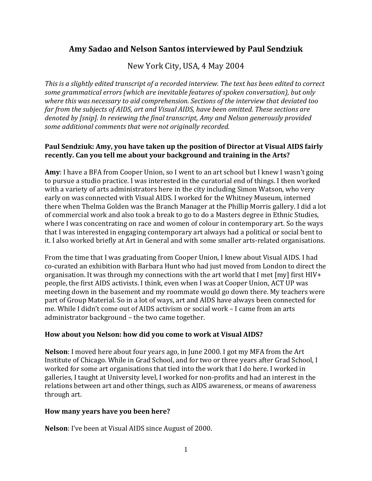# **Amy Sadao and Nelson Santos interviewed by Paul Sendziuk**

New York City, USA, 4 May 2004

*This is a slightly edited transcript of a recorded interview. The text has been edited to correct some grammatical errors (which are inevitable features of spoken conversation), but only where this was necessary to aid comprehension. Sections of the interview that deviated too far from the subjects of AIDS, art and Visual AIDS, have been omitted. These sections are denoted by [snip]. In reviewing the final transcript, Amy and Nelson generously provided some additional comments that were not originally recorded.* 

# **Paul Sendziuk: Amy, you have taken up the position of Director at Visual AIDS fairly recently. Can you tell me about your background and training in the Arts?**

**Amy**: I have a BFA from Cooper Union, so I went to an art school but I knew I wasn't going to pursue a studio practice. I was interested in the curatorial end of things. I then worked with a variety of arts administrators here in the city including Simon Watson, who very early on was connected with Visual AIDS. I worked for the Whitney Museum, interned there when Thelma Golden was the Branch Manager at the Phillip Morris gallery. I did a lot of commercial work and also took a break to go to do a Masters degree in Ethnic Studies, where I was concentrating on race and women of colour in contemporary art. So the ways that I was interested in engaging contemporary art always had a political or social bent to it. I also worked briefly at Art in General and with some smaller arts-related organisations.

From the time that I was graduating from Cooper Union, I knew about Visual AIDS. I had co-curated an exhibition with Barbara Hunt who had just moved from London to direct the organisation. It was through my connections with the art world that I met [my] first HIV+ people, the first AIDS activists. I think, even when I was at Cooper Union, ACT UP was meeting down in the basement and my roommate would go down there. My teachers were part of Group Material. So in a lot of ways, art and AIDS have always been connected for me. While I didn't come out of AIDS activism or social work – I came from an arts administrator background – the two came together.

#### **How about you Nelson: how did you come to work at Visual AIDS?**

**Nelson**: I moved here about four years ago, in June 2000. I got my MFA from the Art Institute of Chicago. While in Grad School, and for two or three years after Grad School, I worked for some art organisations that tied into the work that I do here. I worked in galleries, I taught at University level, I worked for non-profits and had an interest in the relations between art and other things, such as AIDS awareness, or means of awareness through art.

# **How many years have you been here?**

**Nelson**: I've been at Visual AIDS since August of 2000.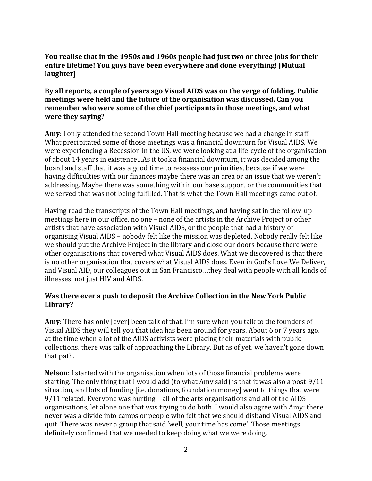**You realise that in the 1950s and 1960s people had just two or three jobs for their entire lifetime! You guys have been everywhere and done everything! [Mutual laughter]**

## **By all reports, a couple of years ago Visual AIDS was on the verge of folding. Public meetings were held and the future of the organisation was discussed. Can you remember who were some of the chief participants in those meetings, and what were they saying?**

**Amy**: I only attended the second Town Hall meeting because we had a change in staff. What precipitated some of those meetings was a financial downturn for Visual AIDS. We were experiencing a Recession in the US, we were looking at a life-cycle of the organisation of about 14 years in existence…As it took a financial downturn, it was decided among the board and staff that it was a good time to reassess our priorities, because if we were having difficulties with our finances maybe there was an area or an issue that we weren't addressing. Maybe there was something within our base support or the communities that we served that was not being fulfilled. That is what the Town Hall meetings came out of.

Having read the transcripts of the Town Hall meetings, and having sat in the follow-up meetings here in our office, no one – none of the artists in the Archive Project or other artists that have association with Visual AIDS, or the people that had a history of organising Visual AIDS – nobody felt like the mission was depleted. Nobody really felt like we should put the Archive Project in the library and close our doors because there were other organisations that covered what Visual AIDS does. What we discovered is that there is no other organisation that covers what Visual AIDS does. Even in God's Love We Deliver, and Visual AID, our colleagues out in San Francisco…they deal with people with all kinds of illnesses, not just HIV and AIDS.

# **Was there ever a push to deposit the Archive Collection in the New York Public Library?**

**Amy**: There has only [ever] been talk of that. I'm sure when you talk to the founders of Visual AIDS they will tell you that idea has been around for years. About 6 or 7 years ago, at the time when a lot of the AIDS activists were placing their materials with public collections, there was talk of approaching the Library. But as of yet, we haven't gone down that path.

**Nelson**: I started with the organisation when lots of those financial problems were starting. The only thing that I would add (to what Amy said) is that it was also a post-9/11 situation, and lots of funding [i.e. donations, foundation money] went to things that were 9/11 related. Everyone was hurting – all of the arts organisations and all of the AIDS organisations, let alone one that was trying to do both. I would also agree with Amy: there never was a divide into camps or people who felt that we should disband Visual AIDS and quit. There was never a group that said 'well, your time has come'. Those meetings definitely confirmed that we needed to keep doing what we were doing.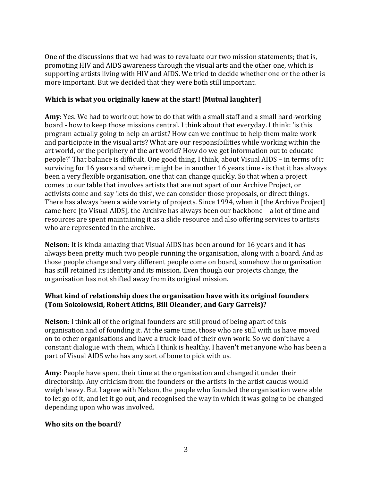One of the discussions that we had was to revaluate our two mission statements; that is, promoting HIV and AIDS awareness through the visual arts and the other one, which is supporting artists living with HIV and AIDS. We tried to decide whether one or the other is more important. But we decided that they were both still important.

# **Which is what you originally knew at the start! [Mutual laughter]**

**Amy**: Yes. We had to work out how to do that with a small staff and a small hard-working board - how to keep those missions central. I think about that everyday. I think: 'is this program actually going to help an artist? How can we continue to help them make work and participate in the visual arts? What are our responsibilities while working within the art world, or the periphery of the art world? How do we get information out to educate people?' That balance is difficult. One good thing, I think, about Visual AIDS – in terms of it surviving for 16 years and where it might be in another 16 years time - is that it has always been a very flexible organisation, one that can change quickly. So that when a project comes to our table that involves artists that are not apart of our Archive Project, or activists come and say 'lets do this', we can consider those proposals, or direct things. There has always been a wide variety of projects. Since 1994, when it [the Archive Project] came here [to Visual AIDS], the Archive has always been our backbone – a lot of time and resources are spent maintaining it as a slide resource and also offering services to artists who are represented in the archive.

**Nelson**: It is kinda amazing that Visual AIDS has been around for 16 years and it has always been pretty much two people running the organisation, along with a board. And as those people change and very different people come on board, somehow the organisation has still retained its identity and its mission. Even though our projects change, the organisation has not shifted away from its original mission.

# **What kind of relationship does the organisation have with its original founders (Tom Sokolowski, Robert Atkins, Bill Oleander, and Gary Garrels)?**

**Nelson**: I think all of the original founders are still proud of being apart of this organisation and of founding it. At the same time, those who are still with us have moved on to other organisations and have a truck-load of their own work. So we don't have a constant dialogue with them, which I think is healthy. I haven't met anyone who has been a part of Visual AIDS who has any sort of bone to pick with us.

**Amy**: People have spent their time at the organisation and changed it under their directorship. Any criticism from the founders or the artists in the artist caucus would weigh heavy. But I agree with Nelson, the people who founded the organisation were able to let go of it, and let it go out, and recognised the way in which it was going to be changed depending upon who was involved.

#### **Who sits on the board?**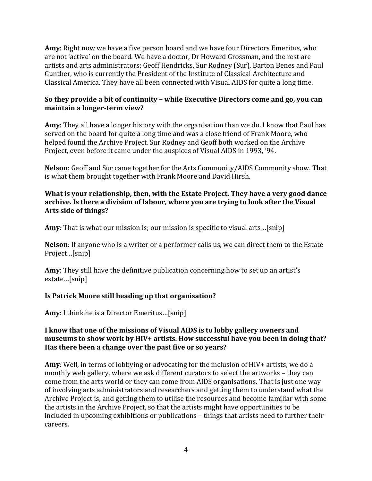**Amy**: Right now we have a five person board and we have four Directors Emeritus, who are not 'active' on the board. We have a doctor, Dr Howard Grossman, and the rest are artists and arts administrators: Geoff Hendricks, Sur Rodney (Sur), Barton Benes and Paul Gunther, who is currently the President of the Institute of Classical Architecture and Classical America. They have all been connected with Visual AIDS for quite a long time.

# **So they provide a bit of continuity – while Executive Directors come and go, you can maintain a longer-term view?**

**Amy**: They all have a longer history with the organisation than we do. I know that Paul has served on the board for quite a long time and was a close friend of Frank Moore, who helped found the Archive Project. Sur Rodney and Geoff both worked on the Archive Project, even before it came under the auspices of Visual AIDS in 1993, '94.

**Nelson**: Geoff and Sur came together for the Arts Community/AIDS Community show. That is what them brought together with Frank Moore and David Hirsh.

## **What is your relationship, then, with the Estate Project. They have a very good dance archive. Is there a division of labour, where you are trying to look after the Visual Arts side of things?**

**Amy**: That is what our mission is; our mission is specific to visual arts…[snip]

**Nelson**: If anyone who is a writer or a performer calls us, we can direct them to the Estate Project…[snip]

**Amy**: They still have the definitive publication concerning how to set up an artist's estate…[snip]

# **Is Patrick Moore still heading up that organisation?**

**Amy**: I think he is a Director Emeritus…[snip]

## **I know that one of the missions of Visual AIDS is to lobby gallery owners and museums to show work by HIV+ artists. How successful have you been in doing that? Has there been a change over the past five or so years?**

**Amy**: Well, in terms of lobbying or advocating for the inclusion of HIV+ artists, we do a monthly web gallery, where we ask different curators to select the artworks – they can come from the arts world or they can come from AIDS organisations. That is just one way of involving arts administrators and researchers and getting them to understand what the Archive Project is, and getting them to utilise the resources and become familiar with some the artists in the Archive Project, so that the artists might have opportunities to be included in upcoming exhibitions or publications – things that artists need to further their careers.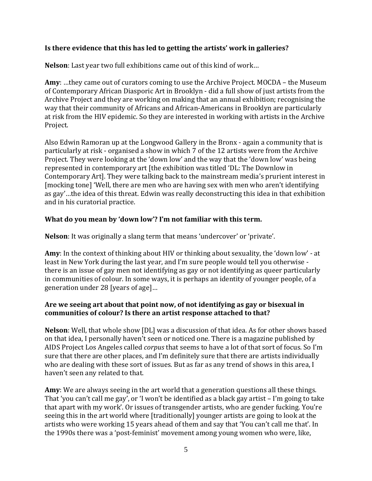# **Is there evidence that this has led to getting the artists' work in galleries?**

**Nelson**: Last year two full exhibitions came out of this kind of work…

**Amy**: …they came out of curators coming to use the Archive Project. MOCDA – the Museum of Contemporary African Diasporic Art in Brooklyn - did a full show of just artists from the Archive Project and they are working on making that an annual exhibition; recognising the way that their community of Africans and African-Americans in Brooklyn are particularly at risk from the HIV epidemic. So they are interested in working with artists in the Archive Project.

Also Edwin Ramoran up at the Longwood Gallery in the Bronx - again a community that is particularly at risk - organised a show in which 7 of the 12 artists were from the Archive Project. They were looking at the 'down low' and the way that the 'down low' was being represented in contemporary art [the exhibition was titled 'DL: The Downlow in Contemporary Art]. They were talking back to the mainstream media's prurient interest in [mocking tone] 'Well, there are men who are having sex with men who aren't identifying as gay'…the idea of this threat. Edwin was really deconstructing this idea in that exhibition and in his curatorial practice.

# **What do you mean by 'down low'? I'm not familiar with this term.**

**Nelson**: It was originally a slang term that means 'undercover' or 'private'.

**Amy**: In the context of thinking about HIV or thinking about sexuality, the 'down low' - at least in New York during the last year, and I'm sure people would tell you otherwise there is an issue of gay men not identifying as gay or not identifying as queer particularly in communities of colour. In some ways, it is perhaps an identity of younger people, of a generation under 28 [years of age]…

# **Are we seeing art about that point now, of not identifying as gay or bisexual in communities of colour? Is there an artist response attached to that?**

**Nelson**: Well, that whole show [DL] was a discussion of that idea. As for other shows based on that idea, I personally haven't seen or noticed one. There is a magazine published by AIDS Project Los Angeles called *corpus* that seems to have a lot of that sort of focus. So I'm sure that there are other places, and I'm definitely sure that there are artists individually who are dealing with these sort of issues. But as far as any trend of shows in this area, I haven't seen any related to that.

**Amy**: We are always seeing in the art world that a generation questions all these things. That 'you can't call me gay', or 'I won't be identified as a black gay artist – I'm going to take that apart with my work'. Or issues of transgender artists, who are gender fucking. You're seeing this in the art world where [traditionally] younger artists are going to look at the artists who were working 15 years ahead of them and say that 'You can't call me that'. In the 1990s there was a 'post-feminist' movement among young women who were, like,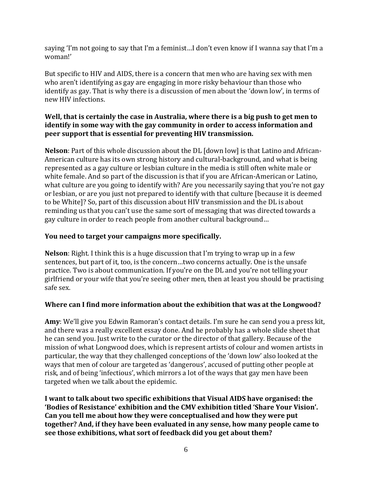saying 'I'm not going to say that I'm a feminist…I don't even know if I wanna say that I'm a woman!'

But specific to HIV and AIDS, there is a concern that men who are having sex with men who aren't identifying as gay are engaging in more risky behaviour than those who identify as gay. That is why there is a discussion of men about the 'down low', in terms of new HIV infections.

# **Well, that is certainly the case in Australia, where there is a big push to get men to identify in some way with the gay community in order to access information and peer support that is essential for preventing HIV transmission.**

**Nelson**: Part of this whole discussion about the DL [down low] is that Latino and African-American culture has its own strong history and cultural-background, and what is being represented as a gay culture or lesbian culture in the media is still often white male or white female. And so part of the discussion is that if you are African-American or Latino, what culture are you going to identify with? Are you necessarily saying that you're not gay or lesbian, or are you just not prepared to identify with that culture [because it is deemed to be White]? So, part of this discussion about HIV transmission and the DL is about reminding us that you can't use the same sort of messaging that was directed towards a gay culture in order to reach people from another cultural background…

# **You need to target your campaigns more specifically.**

**Nelson**: Right. I think this is a huge discussion that I'm trying to wrap up in a few sentences, but part of it, too, is the concern…two concerns actually. One is the unsafe practice. Two is about communication. If you're on the DL and you're not telling your girlfriend or your wife that you're seeing other men, then at least you should be practising safe sex.

# **Where can I find more information about the exhibition that was at the Longwood?**

**Amy**: We'll give you Edwin Ramoran's contact details. I'm sure he can send you a press kit, and there was a really excellent essay done. And he probably has a whole slide sheet that he can send you. Just write to the curator or the director of that gallery. Because of the mission of what Longwood does, which is represent artists of colour and women artists in particular, the way that they challenged conceptions of the 'down low' also looked at the ways that men of colour are targeted as 'dangerous', accused of putting other people at risk, and of being 'infectious', which mirrors a lot of the ways that gay men have been targeted when we talk about the epidemic.

**I want to talk about two specific exhibitions that Visual AIDS have organised: the 'Bodies of Resistance' exhibition and the CMV exhibition titled 'Share Your Vision'. Can you tell me about how they were conceptualised and how they were put together? And, if they have been evaluated in any sense, how many people came to see those exhibitions, what sort of feedback did you get about them?**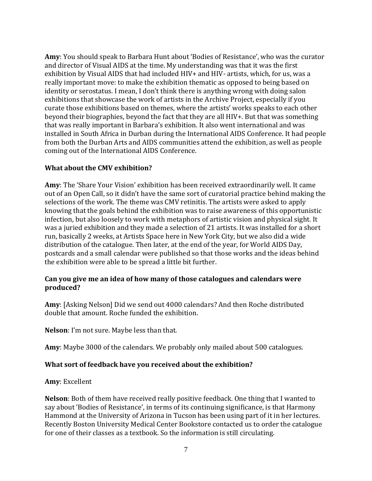**Amy**: You should speak to Barbara Hunt about 'Bodies of Resistance', who was the curator and director of Visual AIDS at the time. My understanding was that it was the first exhibition by Visual AIDS that had included HIV+ and HIV- artists, which, for us, was a really important move: to make the exhibition thematic as opposed to being based on identity or serostatus. I mean, I don't think there is anything wrong with doing salon exhibitions that showcase the work of artists in the Archive Project, especially if you curate those exhibitions based on themes, where the artists' works speaks to each other beyond their biographies, beyond the fact that they are all HIV+. But that was something that was really important in Barbara's exhibition. It also went international and was installed in South Africa in Durban during the International AIDS Conference. It had people from both the Durban Arts and AIDS communities attend the exhibition, as well as people coming out of the International AIDS Conference.

# **What about the CMV exhibition?**

**Amy**: The 'Share Your Vision' exhibition has been received extraordinarily well. It came out of an Open Call, so it didn't have the same sort of curatorial practice behind making the selections of the work. The theme was CMV retinitis. The artists were asked to apply knowing that the goals behind the exhibition was to raise awareness of this opportunistic infection, but also loosely to work with metaphors of artistic vision and physical sight. It was a juried exhibition and they made a selection of 21 artists. It was installed for a short run, basically 2 weeks, at Artists Space here in New York City, but we also did a wide distribution of the catalogue. Then later, at the end of the year, for World AIDS Day, postcards and a small calendar were published so that those works and the ideas behind the exhibition were able to be spread a little bit further.

#### **Can you give me an idea of how many of those catalogues and calendars were produced?**

**Amy**: [Asking Nelson] Did we send out 4000 calendars? And then Roche distributed double that amount. Roche funded the exhibition.

**Nelson**: I'm not sure. Maybe less than that.

**Amy**: Maybe 3000 of the calendars. We probably only mailed about 500 catalogues.

#### **What sort of feedback have you received about the exhibition?**

#### **Amy**: Excellent

**Nelson**: Both of them have received really positive feedback. One thing that I wanted to say about 'Bodies of Resistance', in terms of its continuing significance, is that Harmony Hammond at the University of Arizona in Tucson has been using part of it in her lectures. Recently Boston University Medical Center Bookstore contacted us to order the catalogue for one of their classes as a textbook. So the information is still circulating.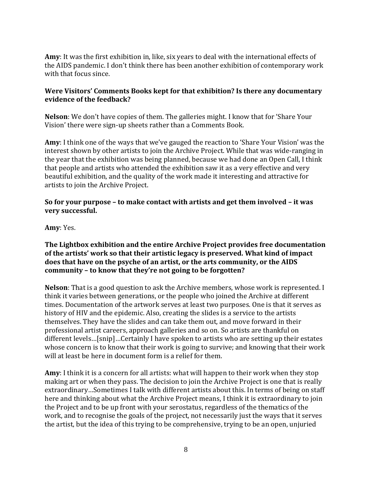**Amy**: It was the first exhibition in, like, six years to deal with the international effects of the AIDS pandemic. I don't think there has been another exhibition of contemporary work with that focus since.

# **Were Visitors' Comments Books kept for that exhibition? Is there any documentary evidence of the feedback?**

**Nelson**: We don't have copies of them. The galleries might. I know that for 'Share Your Vision' there were sign-up sheets rather than a Comments Book.

**Amy**: I think one of the ways that we've gauged the reaction to 'Share Your Vision' was the interest shown by other artists to join the Archive Project. While that was wide-ranging in the year that the exhibition was being planned, because we had done an Open Call, I think that people and artists who attended the exhibition saw it as a very effective and very beautiful exhibition, and the quality of the work made it interesting and attractive for artists to join the Archive Project.

#### **So for your purpose – to make contact with artists and get them involved – it was very successful.**

#### **Amy**: Yes.

### **The Lightbox exhibition and the entire Archive Project provides free documentation of the artists' work so that their artistic legacy is preserved. What kind of impact does that have on the psyche of an artist, or the arts community, or the AIDS community – to know that they're not going to be forgotten?**

**Nelson**: That is a good question to ask the Archive members, whose work is represented. I think it varies between generations, or the people who joined the Archive at different times. Documentation of the artwork serves at least two purposes. One is that it serves as history of HIV and the epidemic. Also, creating the slides is a service to the artists themselves. They have the slides and can take them out, and move forward in their professional artist careers, approach galleries and so on. So artists are thankful on different levels…[snip]…Certainly I have spoken to artists who are setting up their estates whose concern is to know that their work is going to survive; and knowing that their work will at least be here in document form is a relief for them.

**Amy**: I think it is a concern for all artists: what will happen to their work when they stop making art or when they pass. The decision to join the Archive Project is one that is really extraordinary…Sometimes I talk with different artists about this. In terms of being on staff here and thinking about what the Archive Project means, I think it is extraordinary to join the Project and to be up front with your serostatus, regardless of the thematics of the work, and to recognise the goals of the project, not necessarily just the ways that it serves the artist, but the idea of this trying to be comprehensive, trying to be an open, unjuried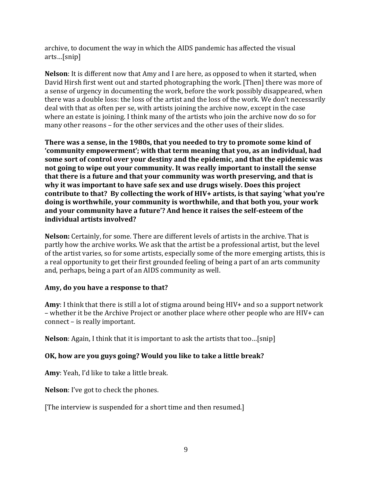archive, to document the way in which the AIDS pandemic has affected the visual arts…[snip]

**Nelson**: It is different now that Amy and I are here, as opposed to when it started, when David Hirsh first went out and started photographing the work. [Then] there was more of a sense of urgency in documenting the work, before the work possibly disappeared, when there was a double loss: the loss of the artist and the loss of the work. We don't necessarily deal with that as often per se, with artists joining the archive now, except in the case where an estate is joining. I think many of the artists who join the archive now do so for many other reasons – for the other services and the other uses of their slides.

**There was a sense, in the 1980s, that you needed to try to promote some kind of 'community empowerment'; with that term meaning that you, as an individual, had some sort of control over your destiny and the epidemic, and that the epidemic was not going to wipe out your community. It was really important to install the sense that there is a future and that your community was worth preserving, and that is why it was important to have safe sex and use drugs wisely. Does this project contribute to that? By collecting the work of HIV+ artists, is that saying 'what you're doing is worthwhile, your community is worthwhile, and that both you, your work and your community have a future'? And hence it raises the self-esteem of the individual artists involved?**

**Nelson:** Certainly, for some. There are different levels of artists in the archive. That is partly how the archive works. We ask that the artist be a professional artist, but the level of the artist varies, so for some artists, especially some of the more emerging artists, this is a real opportunity to get their first grounded feeling of being a part of an arts community and, perhaps, being a part of an AIDS community as well.

# **Amy, do you have a response to that?**

**Amy**: I think that there is still a lot of stigma around being HIV+ and so a support network – whether it be the Archive Project or another place where other people who are HIV+ can connect – is really important.

**Nelson**: Again, I think that it is important to ask the artists that too…[snip]

# **OK, how are you guys going? Would you like to take a little break?**

**Amy**: Yeah, I'd like to take a little break.

**Nelson**: I've got to check the phones.

[The interview is suspended for a short time and then resumed.]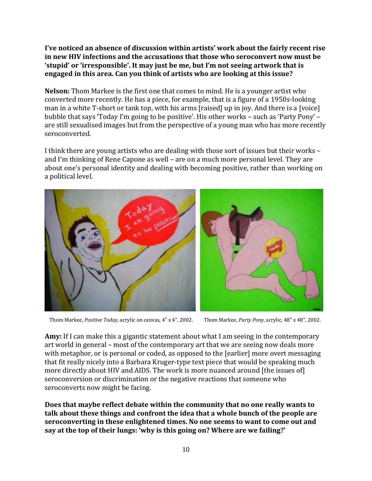**I've noticed an absence of discussion within artists' work about the fairly recent rise in new HIV infections and the accusations that those who seroconvert now must be 'stupid' or 'irresponsible'. It may just be me, but I'm not seeing artwork that is engaged in this area. Can you think of artists who are looking at this issue?**

**Nelson:** Thom Markee is the first one that comes to mind. He is a younger artist who converted more recently. He has a piece, for example, that is a figure of a 1950s-looking man in a white T-short or tank top, with his arms [raised] up in joy. And there is a [voice] bubble that says 'Today I'm going to be positive'. His other works – such as 'Party Pony' – are still sexualised images but from the perspective of a young man who has more recently seroconverted.

I think there are young artists who are dealing with those sort of issues but their works – and I'm thinking of Rene Capone as well – are on a much more personal level. They are about one's personal identity and dealing with becoming positive, rather than working on a political level.



Thom Markee, *Positive Today*, acrylic on canvas, 4" x 4", 2002. Thom Markee, *Party Pony*, acrylic, 48" x 48", 2002.

**Amy:** If I can make this a gigantic statement about what I am seeing in the contemporary art world in general – most of the contemporary art that we are seeing now deals more with metaphor, or is personal or coded, as opposed to the [earlier] more overt messaging that fit really nicely into a Barbara Kruger-type text piece that would be speaking much more directly about HIV and AIDS. The work is more nuanced around [the issues of] seroconversion or discrimination or the negative reactions that someone who seroconverts now might be facing.

**Does that maybe reflect debate within the community that no one really wants to talk about these things and confront the idea that a whole bunch of the people are seroconverting in these enlightened times. No one seems to want to come out and say at the top of their lungs: 'why is this going on? Where are we failing?'**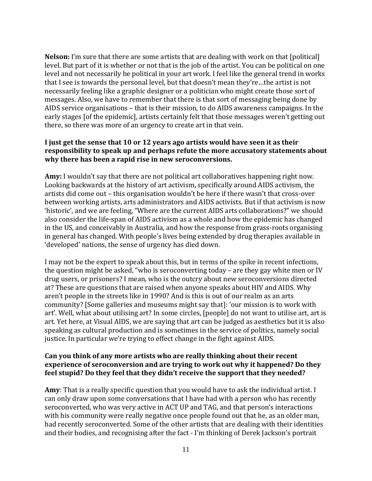**Nelson:** I'm sure that there are some artists that are dealing with work on that [political] level. But part of it is whether or not that is the job of the artist. You can be political on one level and not necessarily be political in your art work. I feel like the general trend in works that I see is towards the personal level, but that doesn't mean they're…the artist is not necessarily feeling like a graphic designer or a politician who might create those sort of messages. Also, we have to remember that there is that sort of messaging being done by AIDS service organisations – that is their mission, to do AIDS awareness campaigns. In the early stages [of the epidemic], artists certainly felt that those messages weren't getting out there, so there was more of an urgency to create art in that vein.

### **I just get the sense that 10 or 12 years ago artists would have seen it as their responsibility to speak up and perhaps refute the more accusatory statements about why there has been a rapid rise in new seroconversions.**

**Amy:** I wouldn't say that there are not political art collaboratives happening right now. Looking backwards at the history of art activism, specifically around AIDS activism, the artists did come out – this organisation wouldn't be here if there wasn't that cross-over between working artists, arts administrators and AIDS activists. But if that activism is now 'historic', and we are feeling, "Where are the current AIDS arts collaborations?" we should also consider the life-span of AIDS activism as a whole and how the epidemic has changed in the US, and conceivably in Australia, and how the response from grass-roots organising in general has changed. With people's lives being extended by drug therapies available in 'developed' nations, the sense of urgency has died down.

I may not be the expert to speak about this, but in terms of the spike in recent infections, the question might be asked, "who is seroconverting today – are they gay white men or IV drug users, or prisoners? I mean, who is the outcry about new seroconversions directed at? These are questions that are raised when anyone speaks about HIV and AIDS. Why aren't people in the streets like in 1990? And is this is out of our realm as an arts community? [Some galleries and museums might say that]: 'our mission is to work with art'. Well, what about utilising art? In some circles, [people] do not want to utilise art, art is art. Yet here, at Visual AIDS, we are saying that art can be judged as aesthetics but it is also speaking as cultural production and is sometimes in the service of politics, namely social justice. In particular we're trying to effect change in the fight against AIDS.

#### **Can you think of any more artists who are really thinking about their recent experience of seroconversion and are trying to work out why it happened? Do they feel stupid? Do they feel that they didn't receive the support that they needed?**

**Amy**: That is a really specific question that you would have to ask the individual artist. I can only draw upon some conversations that I have had with a person who has recently seroconverted, who was very active in ACT UP and TAG, and that person's interactions with his community were really negative once people found out that he, as an older man, had recently seroconverted. Some of the other artists that are dealing with their identities and their bodies, and recognising after the fact - I'm thinking of Derek Jackson's portrait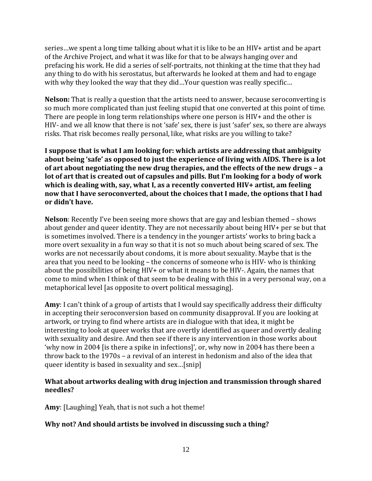series…we spent a long time talking about what it is like to be an HIV+ artist and be apart of the Archive Project, and what it was like for that to be always hanging over and prefacing his work. He did a series of self-portraits, not thinking at the time that they had any thing to do with his serostatus, but afterwards he looked at them and had to engage with why they looked the way that they did...Your question was really specific...

**Nelson:** That is really a question that the artists need to answer, because seroconverting is so much more complicated than just feeling stupid that one converted at this point of time. There are people in long term relationships where one person is HIV+ and the other is HIV- and we all know that there is not 'safe' sex, there is just 'safer' sex, so there are always risks. That risk becomes really personal, like, what risks are you willing to take?

**I suppose that is what I am looking for: which artists are addressing that ambiguity about being 'safe' as opposed to just the experience of living with AIDS. There is a lot of art about negotiating the new drug therapies, and the effects of the new drugs – a lot of art that is created out of capsules and pills. But I'm looking for a body of work which is dealing with, say, what I, as a recently converted HIV+ artist, am feeling now that I have seroconverted, about the choices that I made, the options that I had or didn't have.**

**Nelson**: Recently I've been seeing more shows that are gay and lesbian themed – shows about gender and queer identity. They are not necessarily about being HIV+ per se but that is sometimes involved. There is a tendency in the younger artists' works to bring back a more overt sexuality in a fun way so that it is not so much about being scared of sex. The works are not necessarily about condoms, it is more about sexuality. Maybe that is the area that you need to be looking – the concerns of someone who is HIV- who is thinking about the possibilities of being HIV+ or what it means to be HIV-. Again, the names that come to mind when I think of that seem to be dealing with this in a very personal way, on a metaphorical level [as opposite to overt political messaging].

**Amy**: I can't think of a group of artists that I would say specifically address their difficulty in accepting their seroconversion based on community disapproval. If you are looking at artwork, or trying to find where artists are in dialogue with that idea, it might be interesting to look at queer works that are overtly identified as queer and overtly dealing with sexuality and desire. And then see if there is any intervention in those works about 'why now in 2004 [is there a spike in infections]', or, why now in 2004 has there been a throw back to the 1970s – a revival of an interest in hedonism and also of the idea that queer identity is based in sexuality and sex…[snip]

# **What about artworks dealing with drug injection and transmission through shared needles?**

**Amy**: [Laughing] Yeah, that is not such a hot theme!

# **Why not? And should artists be involved in discussing such a thing?**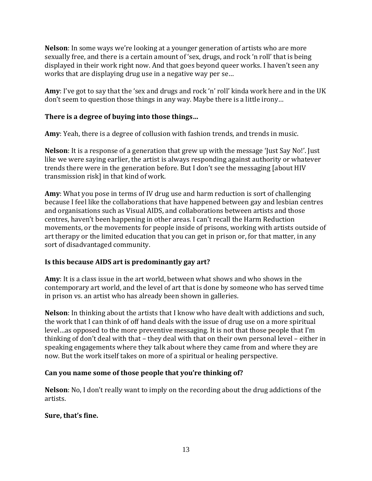**Nelson**: In some ways we're looking at a younger generation of artists who are more sexually free, and there is a certain amount of 'sex, drugs, and rock 'n roll' that is being displayed in their work right now. And that goes beyond queer works. I haven't seen any works that are displaying drug use in a negative way per se…

**Amy**: I've got to say that the 'sex and drugs and rock 'n' roll' kinda work here and in the UK don't seem to question those things in any way. Maybe there is a little irony…

# **There is a degree of buying into those things…**

**Amy**: Yeah, there is a degree of collusion with fashion trends, and trends in music.

**Nelson**: It is a response of a generation that grew up with the message 'Just Say No!'. Just like we were saying earlier, the artist is always responding against authority or whatever trends there were in the generation before. But I don't see the messaging [about HIV transmission risk] in that kind of work.

**Amy**: What you pose in terms of IV drug use and harm reduction is sort of challenging because I feel like the collaborations that have happened between gay and lesbian centres and organisations such as Visual AIDS, and collaborations between artists and those centres, haven't been happening in other areas. I can't recall the Harm Reduction movements, or the movements for people inside of prisons, working with artists outside of art therapy or the limited education that you can get in prison or, for that matter, in any sort of disadvantaged community.

# **Is this because AIDS art is predominantly gay art?**

**Amy**: It is a class issue in the art world, between what shows and who shows in the contemporary art world, and the level of art that is done by someone who has served time in prison vs. an artist who has already been shown in galleries.

**Nelson**: In thinking about the artists that I know who have dealt with addictions and such, the work that I can think of off hand deals with the issue of drug use on a more spiritual level…as opposed to the more preventive messaging. It is not that those people that I'm thinking of don't deal with that – they deal with that on their own personal level – either in speaking engagements where they talk about where they came from and where they are now. But the work itself takes on more of a spiritual or healing perspective.

#### **Can you name some of those people that you're thinking of?**

**Nelson**: No, I don't really want to imply on the recording about the drug addictions of the artists.

#### **Sure, that's fine.**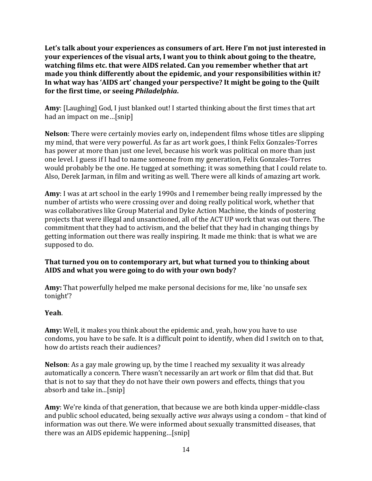**Let's talk about your experiences as consumers of art. Here I'm not just interested in your experiences of the visual arts, I want you to think about going to the theatre, watching films etc. that were AIDS related. Can you remember whether that art made you think differently about the epidemic, and your responsibilities within it? In what way has 'AIDS art' changed your perspective? It might be going to the Quilt for the first time, or seeing** *Philadelphia***.**

**Amy**: [Laughing] God, I just blanked out! I started thinking about the first times that art had an impact on me…[snip]

**Nelson**: There were certainly movies early on, independent films whose titles are slipping my mind, that were very powerful. As far as art work goes, I think Felix Gonzales-Torres has power at more than just one level, because his work was political on more than just one level. I guess if I had to name someone from my generation, Felix Gonzales-Torres would probably be the one. He tugged at something; it was something that I could relate to. Also, Derek Jarman, in film and writing as well. There were all kinds of amazing art work.

**Amy**: I was at art school in the early 1990s and I remember being really impressed by the number of artists who were crossing over and doing really political work, whether that was collaboratives like Group Material and Dyke Action Machine, the kinds of postering projects that were illegal and unsanctioned, all of the ACT UP work that was out there. The commitment that they had to activism, and the belief that they had in changing things by getting information out there was really inspiring. It made me think: that is what we are supposed to do.

# **That turned you on to contemporary art, but what turned you to thinking about AIDS and what you were going to do with your own body?**

**Amy:** That powerfully helped me make personal decisions for me, like 'no unsafe sex tonight'?

# **Yeah**.

**Amy:** Well, it makes you think about the epidemic and, yeah, how you have to use condoms, you have to be safe. It is a difficult point to identify, when did I switch on to that, how do artists reach their audiences?

**Nelson**: As a gay male growing up, by the time I reached my sexuality it was already automatically a concern. There wasn't necessarily an art work or film that did that. But that is not to say that they do not have their own powers and effects, things that you absorb and take in...[snip]

**Amy**: We're kinda of that generation, that because we are both kinda upper-middle-class and public school educated, being sexually active *was* always using a condom – that kind of information was out there. We were informed about sexually transmitted diseases, that there was an AIDS epidemic happening…[snip]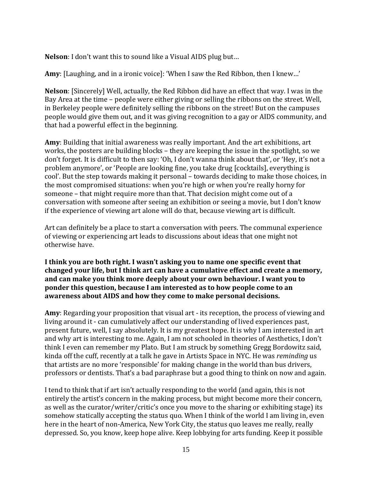**Nelson**: I don't want this to sound like a Visual AIDS plug but…

**Amy**: [Laughing, and in a ironic voice]: 'When I saw the Red Ribbon, then I knew…'

**Nelson**: [Sincerely] Well, actually, the Red Ribbon did have an effect that way. I was in the Bay Area at the time – people were either giving or selling the ribbons on the street. Well, in Berkeley people were definitely selling the ribbons on the street! But on the campuses people would give them out, and it was giving recognition to a gay or AIDS community, and that had a powerful effect in the beginning.

**Amy**: Building that initial awareness was really important. And the art exhibitions, art works, the posters are building blocks – they are keeping the issue in the spotlight, so we don't forget. It is difficult to then say: 'Oh, I don't wanna think about that', or 'Hey, it's not a problem anymore', or 'People are looking fine, you take drug [cocktails], everything is cool'. But the step towards making it personal – towards deciding to make those choices, in the most compromised situations: when you're high or when you're really horny for someone – that might require more than that. That decision might come out of a conversation with someone after seeing an exhibition or seeing a movie, but I don't know if the experience of viewing art alone will do that, because viewing art is difficult.

Art can definitely be a place to start a conversation with peers. The communal experience of viewing or experiencing art leads to discussions about ideas that one might not otherwise have.

**I think you are both right. I wasn't asking you to name one specific event that changed your life, but I think art can have a cumulative effect and create a memory, and can make you think more deeply about your own behaviour. I want you to ponder this question, because I am interested as to how people come to an awareness about AIDS and how they come to make personal decisions.** 

**Amy**: Regarding your proposition that visual art - its reception, the process of viewing and living around it - can cumulatively affect our understanding of lived experiences past, present future, well, I say absolutely. It is my greatest hope. It is why I am interested in art and why art is interesting to me. Again, I am not schooled in theories of Aesthetics, I don't think I even can remember my Plato. But I am struck by something Gregg Bordowitz said, kinda off the cuff, recently at a talk he gave in Artists Space in NYC. He was *reminding* us that artists are no more 'responsible' for making change in the world than bus drivers, professors or dentists. That's a bad paraphrase but a good thing to think on now and again.

I tend to think that if art isn't actually responding to the world (and again, this is not entirely the artist's concern in the making process, but might become more their concern, as well as the curator/writer/critic's once you move to the sharing or exhibiting stage) its somehow statically accepting the status quo. When I think of the world I am living in, even here in the heart of non-America, New York City, the status quo leaves me really, really depressed. So, you know, keep hope alive. Keep lobbying for arts funding. Keep it possible